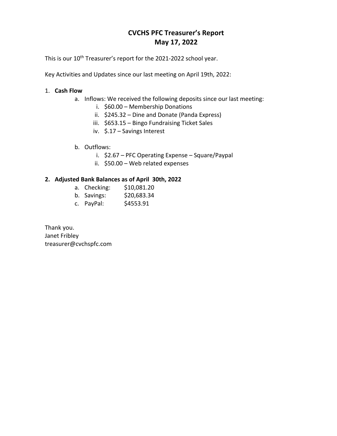# **CVCHS PFC Treasurer's Report May 17, 2022**

This is our 10<sup>th</sup> Treasurer's report for the 2021-2022 school year.

Key Activities and Updates since our last meeting on April 19th, 2022:

## 1. **Cash Flow**

- a. Inflows: We received the following deposits since our last meeting:
	- i. \$60.00 Membership Donations
	- ii. \$245.32 Dine and Donate (Panda Express)
	- iii. \$653.15 Bingo Fundraising Ticket Sales
	- iv. \$.17 Savings Interest
- b. Outflows:
	- i. \$2.67 PFC Operating Expense Square/Paypal
	- ii. \$50.00 Web related expenses

### **2. Adjusted Bank Balances as of April 30th, 2022**

- a. Checking: \$10,081.20
- b. Savings: \$20,683.34
- c. PayPal: \$4553.91

Thank you. Janet Fribley treasurer@cvchspfc.com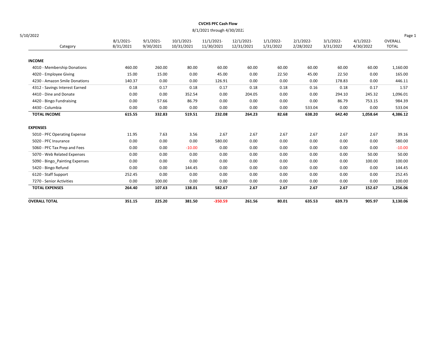### CVCHS PFC Cash Flow

8/1/2021 through 4/30/2022

| 5/10/2022                      |                       |                       |                          |                         |                         |                       |                       |                       |                       | Page 1                  |
|--------------------------------|-----------------------|-----------------------|--------------------------|-------------------------|-------------------------|-----------------------|-----------------------|-----------------------|-----------------------|-------------------------|
| Category                       | 8/1/2021<br>8/31/2021 | 9/1/2021<br>9/30/2021 | 10/1/2021-<br>10/31/2021 | 11/1/2021<br>11/30/2021 | 12/1/2021<br>12/31/2021 | 1/1/2022<br>1/31/2022 | 2/1/2022<br>2/28/2022 | 3/1/2022<br>3/31/2022 | 4/1/2022<br>4/30/2022 | OVERALL<br><b>TOTAL</b> |
| <b>INCOME</b>                  |                       |                       |                          |                         |                         |                       |                       |                       |                       |                         |
| 4010 - Membership Donations    | 460.00                | 260.00                | 80.00                    | 60.00                   | 60.00                   | 60.00                 | 60.00                 | 60.00                 | 60.00                 | 1,160.00                |
| 4020 - Employee Giving         | 15.00                 | 15.00                 | 0.00                     | 45.00                   | 0.00                    | 22.50                 | 45.00                 | 22.50                 | 0.00                  | 165.00                  |
| 4230 - Amazon Smile Donations  | 140.37                | 0.00                  | 0.00                     | 126.91                  | 0.00                    | 0.00                  | 0.00                  | 178.83                | 0.00                  | 446.11                  |
| 4312 - Savings Interest Earned | 0.18                  | 0.17                  | 0.18                     | 0.17                    | 0.18                    | 0.18                  | 0.16                  | 0.18                  | 0.17                  | 1.57                    |
| 4410 - Dine and Donate         | 0.00                  | 0.00                  | 352.54                   | 0.00                    | 204.05                  | 0.00                  | 0.00                  | 294.10                | 245.32                | 1,096.01                |
| 4420 - Bingo Fundraising       | 0.00                  | 57.66                 | 86.79                    | 0.00                    | 0.00                    | 0.00                  | 0.00                  | 86.79                 | 753.15                | 984.39                  |
| 4430 - Columbia                | 0.00                  | 0.00                  | 0.00                     | 0.00                    | 0.00                    | 0.00                  | 533.04                | 0.00                  | 0.00                  | 533.04                  |
| <b>TOTAL INCOME</b>            | 615.55                | 332.83                | 519.51                   | 232.08                  | 264.23                  | 82.68                 | 638.20                | 642.40                | 1,058.64              | 4,386.12                |
| <b>EXPENSES</b>                |                       |                       |                          |                         |                         |                       |                       |                       |                       |                         |
| 5010 - PFC Operating Expense   | 11.95                 | 7.63                  | 3.56                     | 2.67                    | 2.67                    | 2.67                  | 2.67                  | 2.67                  | 2.67                  | 39.16                   |
| 5020 - PFC Insurance           | 0.00                  | 0.00                  | 0.00                     | 580.00                  | 0.00                    | 0.00                  | 0.00                  | 0.00                  | 0.00                  | 580.00                  |
| 5060 - PFC Tax Prep and Fees   | 0.00                  | 0.00                  | $-10.00$                 | 0.00                    | 0.00                    | 0.00                  | 0.00                  | 0.00                  | 0.00                  | $-10.00$                |
| 5070 - Web Related Expenses    | 0.00                  | 0.00                  | 0.00                     | 0.00                    | 0.00                    | 0.00                  | 0.00                  | 0.00                  | 50.00                 | 50.00                   |
| 5090 - Bingo_Painting Expenses | 0.00                  | 0.00                  | 0.00                     | 0.00                    | 0.00                    | 0.00                  | 0.00                  | 0.00                  | 100.00                | 100.00                  |
| 5420 - Bingo Refund            | 0.00                  | 0.00                  | 144.45                   | 0.00                    | 0.00                    | 0.00                  | 0.00                  | 0.00                  | 0.00                  | 144.45                  |
| 6120 - Staff Support           | 252.45                | 0.00                  | 0.00                     | 0.00                    | 0.00                    | 0.00                  | 0.00                  | 0.00                  | 0.00                  | 252.45                  |
| 7270 - Senior Activities       | 0.00                  | 100.00                | 0.00                     | 0.00                    | 0.00                    | 0.00                  | 0.00                  | 0.00                  | 0.00                  | 100.00                  |
| <b>TOTAL EXPENSES</b>          | 264.40                | 107.63                | 138.01                   | 582.67                  | 2.67                    | 2.67                  | 2.67                  | 2.67                  | 152.67                | 1,256.06                |
| <b>OVERALL TOTAL</b>           | 351.15                | 225.20                | 381.50                   | $-350.59$               | 261.56                  | 80.01                 | 635.53                | 639.73                | 905.97                | 3,130.06                |